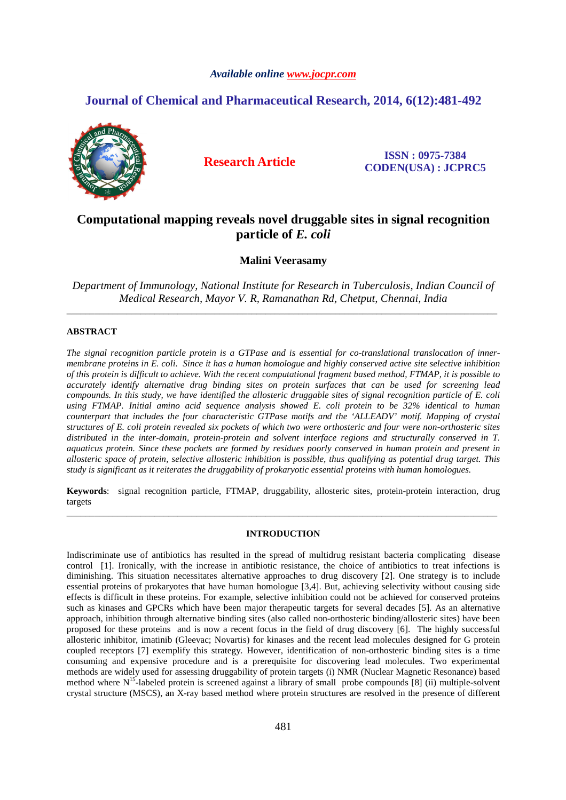# *Available online www.jocpr.com*

# **Journal of Chemical and Pharmaceutical Research, 2014, 6(12):481-492**



**Research Article ISSN : 0975-7384 CODEN(USA) : JCPRC5**

# **Computational mapping reveals novel druggable sites in signal recognition particle of** *E. coli*

**Malini Veerasamy** 

*Department of Immunology, National Institute for Research in Tuberculosis, Indian Council of Medical Research, Mayor V. R, Ramanathan Rd, Chetput, Chennai, India*  \_\_\_\_\_\_\_\_\_\_\_\_\_\_\_\_\_\_\_\_\_\_\_\_\_\_\_\_\_\_\_\_\_\_\_\_\_\_\_\_\_\_\_\_\_\_\_\_\_\_\_\_\_\_\_\_\_\_\_\_\_\_\_\_\_\_\_\_\_\_\_\_\_\_\_\_\_\_\_\_\_\_\_\_\_\_\_\_\_\_\_\_\_

# **ABSTRACT**

*The signal recognition particle protein is a GTPase and is essential for co-translational translocation of innermembrane proteins in E. coli. Since it has a human homologue and highly conserved active site selective inhibition of this protein is difficult to achieve. With the recent computational fragment based method, FTMAP, it is possible to accurately identify alternative drug binding sites on protein surfaces that can be used for screening lead compounds. In this study, we have identified the allosteric druggable sites of signal recognition particle of E. coli using FTMAP. Initial amino acid sequence analysis showed E. coli protein to be 32% identical to human counterpart that includes the four characteristic GTPase motifs and the 'ALLEADV' motif. Mapping of crystal structures of E. coli protein revealed six pockets of which two were orthosteric and four were non-orthosteric sites distributed in the inter-domain, protein-protein and solvent interface regions and structurally conserved in T. aquaticus protein. Since these pockets are formed by residues poorly conserved in human protein and present in allosteric space of protein, selective allosteric inhibition is possible, thus qualifying as potential drug target. This study is significant as it reiterates the druggability of prokaryotic essential proteins with human homologues.* 

**Keywords**: signal recognition particle, FTMAP, druggability, allosteric sites, protein-protein interaction, drug targets \_\_\_\_\_\_\_\_\_\_\_\_\_\_\_\_\_\_\_\_\_\_\_\_\_\_\_\_\_\_\_\_\_\_\_\_\_\_\_\_\_\_\_\_\_\_\_\_\_\_\_\_\_\_\_\_\_\_\_\_\_\_\_\_\_\_\_\_\_\_\_\_\_\_\_\_\_\_\_\_\_\_\_\_\_\_\_\_\_\_\_\_\_

# **INTRODUCTION**

Indiscriminate use of antibiotics has resulted in the spread of multidrug resistant bacteria complicating disease control [1]. Ironically, with the increase in antibiotic resistance, the choice of antibiotics to treat infections is diminishing. This situation necessitates alternative approaches to drug discovery [2]. One strategy is to include essential proteins of prokaryotes that have human homologue [3,4]. But, achieving selectivity without causing side effects is difficult in these proteins. For example, selective inhibition could not be achieved for conserved proteins such as kinases and GPCRs which have been major therapeutic targets for several decades [5]. As an alternative approach, inhibition through alternative binding sites (also called non-orthosteric binding/allosteric sites) have been proposed for these proteins and is now a recent focus in the field of drug discovery [6]. The highly successful allosteric inhibitor, imatinib (Gleevac; Novartis) for kinases and the recent lead molecules designed for G protein coupled receptors [7] exemplify this strategy. However, identification of non-orthosteric binding sites is a time consuming and expensive procedure and is a prerequisite for discovering lead molecules. Two experimental methods are widely used for assessing druggability of protein targets (i) NMR (Nuclear Magnetic Resonance) based method where N<sup>15</sup>-labeled protein is screened against a library of small probe compounds [8] (ii) multiple-solvent crystal structure (MSCS), an X-ray based method where protein structures are resolved in the presence of different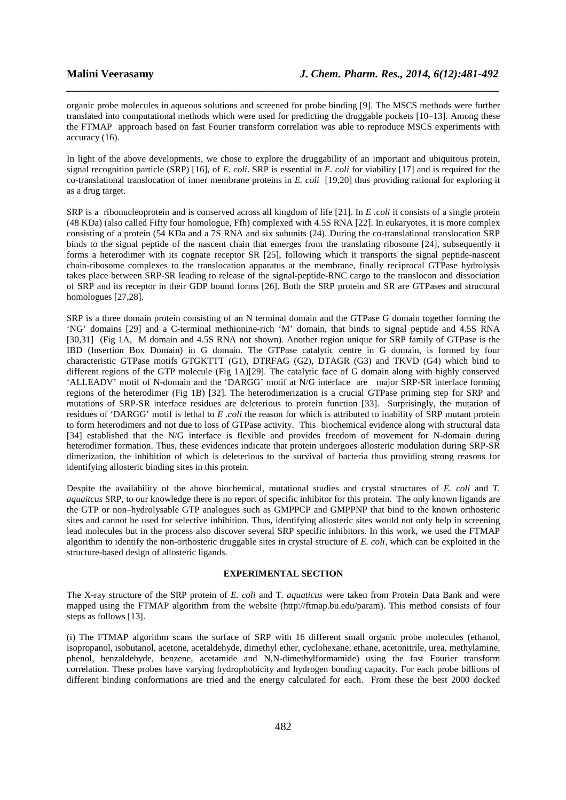organic probe molecules in aqueous solutions and screened for probe binding [9]. The MSCS methods were further translated into computational methods which were used for predicting the druggable pockets [10–13]. Among these the FTMAP approach based on fast Fourier transform correlation was able to reproduce MSCS experiments with accuracy (16).

*\_\_\_\_\_\_\_\_\_\_\_\_\_\_\_\_\_\_\_\_\_\_\_\_\_\_\_\_\_\_\_\_\_\_\_\_\_\_\_\_\_\_\_\_\_\_\_\_\_\_\_\_\_\_\_\_\_\_\_\_\_\_\_\_\_\_\_\_\_\_\_\_\_\_\_\_\_\_*

In light of the above developments, we chose to explore the druggability of an important and ubiquitous protein, signal recognition particle (SRP) [16], of *E. coli*. SRP is essential in *E. coli* for viability [17] and is required for the co-translational translocation of inner membrane proteins in *E. coli* [19,20] thus providing rational for exploring it as a drug target*.*

SRP is a ribonucleoprotein and is conserved across all kingdom of life [21]. In *E .coli* it consists of a single protein (48 KDa) (also called Fifty four homologue, Ffh) complexed with 4.5S RNA [22]. In eukaryotes, it is more complex consisting of a protein (54 KDa and a 7S RNA and six subunits (24). During the co-translational translocation SRP binds to the signal peptide of the nascent chain that emerges from the translating ribosome [24], subsequently it forms a heterodimer with its cognate receptor SR [25], following which it transports the signal peptide-nascent chain-ribosome complexes to the translocation apparatus at the membrane, finally reciprocal GTPase hydrolysis takes place between SRP-SR leading to release of the signal-peptide-RNC cargo to the translocon and dissociation of SRP and its receptor in their GDP bound forms [26]. Both the SRP protein and SR are GTPases and structural homologues [27,28].

SRP is a three domain protein consisting of an N terminal domain and the GTPase G domain together forming the 'NG' domains [29] and a C-terminal methionine-rich 'M' domain, that binds to signal peptide and 4.5S RNA [30,31] (Fig 1A, M domain and 4.5S RNA not shown). Another region unique for SRP family of GTPase is the IBD (Insertion Box Domain) in G domain. The GTPase catalytic centre in G domain, is formed by four characteristic GTPase motifs GTGKTTT (G1), DTRFAG (G2), DTAGR (G3) and TKVD (G4) which bind to different regions of the GTP molecule (Fig 1A)[29]. The catalytic face of G domain along with highly conserved 'ALLEADV' motif of N-domain and the 'DARGG' motif at N/G interface are major SRP-SR interface forming regions of the heterodimer (Fig 1B) [32]. The heterodimerization is a crucial GTPase priming step for SRP and mutations of SRP-SR interface residues are deleterious to protein function [33]. Surprisingly, the mutation of residues of 'DARGG' motif is lethal to *E .coli* the reason for which is attributed to inability of SRP mutant protein to form heterodimers and not due to loss of GTPase activity. This biochemical evidence along with structural data [34] established that the N/G interface is flexible and provides freedom of movement for N-domain during heterodimer formation. Thus, these evidences indicate that protein undergoes allosteric modulation during SRP-SR dimerization, the inhibition of which is deleterious to the survival of bacteria thus providing strong reasons for identifying allosteric binding sites in this protein.

Despite the availability of the above biochemical, mutational studies and crystal structures of *E. coli* and *T. aquaitcus* SRP, to our knowledge there is no report of specific inhibitor for this protein. The only known ligands are the GTP or non–hydrolysable GTP analogues such as GMPPCP and GMPPNP that bind to the known orthosteric sites and cannot be used for selective inhibition. Thus, identifying allosteric sites would not only help in screening lead molecules but in the process also discover several SRP specific inhibitors. In this work, we used the FTMAP algorithm to identify the non-orthosteric druggable sites in crystal structure of *E. coli,* which can be exploited in the structure-based design of allosteric ligands.

# **EXPERIMENTAL SECTION**

The X-ray structure of the SRP protein of *E. coli* and T*. aquaticus* were taken from Protein Data Bank and were mapped using the FTMAP algorithm from the website (http://ftmap.bu.edu/param). This method consists of four steps as follows [13].

(i) The FTMAP algorithm scans the surface of SRP with 16 different small organic probe molecules (ethanol, isopropanol, isobutanol, acetone, acetaldehyde, dimethyl ether, cyclohexane, ethane, acetonitrile, urea, methylamine, phenol, benzaldehyde, benzene, acetamide and N,N-dimethylformamide) using the fast Fourier transform correlation. These probes have varying hydrophobicity and hydrogen bonding capacity. For each probe billions of different binding conformations are tried and the energy calculated for each. From these the best 2000 docked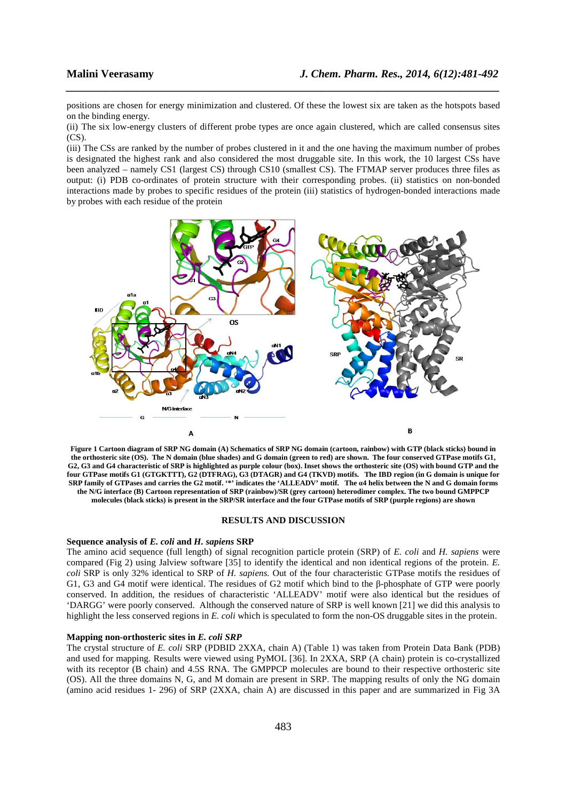positions are chosen for energy minimization and clustered. Of these the lowest six are taken as the hotspots based on the binding energy.

*\_\_\_\_\_\_\_\_\_\_\_\_\_\_\_\_\_\_\_\_\_\_\_\_\_\_\_\_\_\_\_\_\_\_\_\_\_\_\_\_\_\_\_\_\_\_\_\_\_\_\_\_\_\_\_\_\_\_\_\_\_\_\_\_\_\_\_\_\_\_\_\_\_\_\_\_\_\_*

(ii) The six low-energy clusters of different probe types are once again clustered, which are called consensus sites  $(CS)$ .

(iii) The CSs are ranked by the number of probes clustered in it and the one having the maximum number of probes is designated the highest rank and also considered the most druggable site. In this work, the 10 largest CSs have been analyzed – namely CS1 (largest CS) through CS10 (smallest CS). The FTMAP server produces three files as output: (i) PDB co-ordinates of protein structure with their corresponding probes. (ii) statistics on non-bonded interactions made by probes to specific residues of the protein (iii) statistics of hydrogen-bonded interactions made by probes with each residue of the protein



**Figure 1 Cartoon diagram of SRP NG domain (A) Schematics of SRP NG domain (cartoon, rainbow) with GTP (black sticks) bound in the orthosteric site (OS). The N domain (blue shades) and G domain (green to red) are shown. The four conserved GTPase motifs G1, G2, G3 and G4 characteristic of SRP is highlighted as purple colour (box). Inset shows the orthosteric site (OS) with bound GTP and the four GTPase motifs G1 (GTGKTTT), G2 (DTFRAG), G3 (DTAGR) and G4 (TKVD) motifs. The IBD region (in G domain is unique for SRP family of GTPases and carries the G2 motif. '\*' indicates the 'ALLEADV' motif. The α4 helix between the N and G domain forms the N/G interface (B) Cartoon representation of SRP (rainbow)/SR (grey cartoon) heterodimer complex. The two bound GMPPCP molecules (black sticks) is present in the SRP/SR interface and the four GTPase motifs of SRP (purple regions) are shown** 

### **RESULTS AND DISCUSSION**

### **Sequence analysis of** *E. coli* **and** *H. sapiens* **SRP**

The amino acid sequence (full length) of signal recognition particle protein (SRP) of *E. coli* and *H. sapiens* were compared (Fig 2) using Jalview software [35] to identify the identical and non identical regions of the protein. *E. coli* SRP is only 32% identical to SRP of *H. sapiens.* Out of the four characteristic GTPase motifs the residues of G1, G3 and G4 motif were identical. The residues of G2 motif which bind to the β-phosphate of GTP were poorly conserved. In addition, the residues of characteristic 'ALLEADV' motif were also identical but the residues of 'DARGG' were poorly conserved. Although the conserved nature of SRP is well known [21] we did this analysis to highlight the less conserved regions in *E. coli* which is speculated to form the non-OS druggable sites in the protein.

# **Mapping non-orthosteric sites in** *E. coli SRP*

The crystal structure of *E. coli* SRP (PDBID 2XXA, chain A) (Table 1) was taken from Protein Data Bank (PDB) and used for mapping. Results were viewed using PyMOL [36]. In 2XXA, SRP (A chain) protein is co-crystallized with its receptor (B chain) and 4.5S RNA. The GMPPCP molecules are bound to their respective orthosteric site (OS). All the three domains N, G, and M domain are present in SRP. The mapping results of only the NG domain (amino acid residues 1- 296) of SRP (2XXA, chain A) are discussed in this paper and are summarized in Fig 3A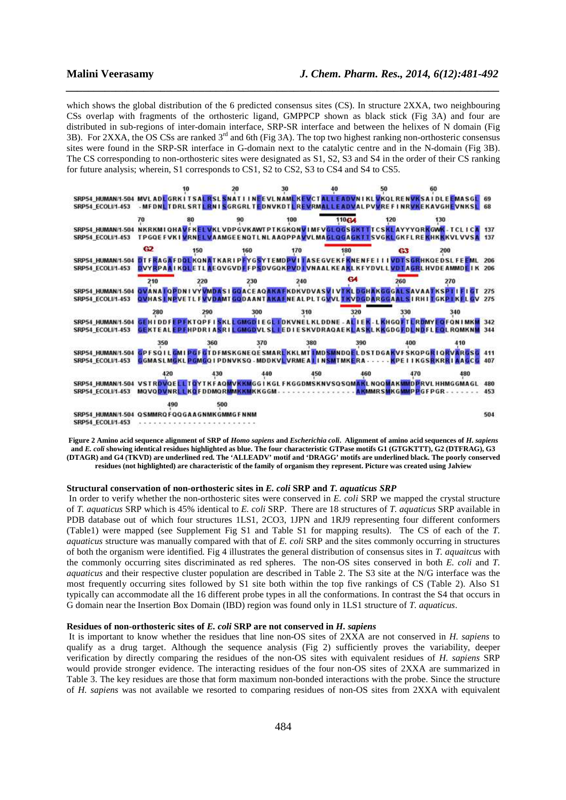which shows the global distribution of the 6 predicted consensus sites (CS). In structure 2XXA, two neighbouring CSs overlap with fragments of the orthosteric ligand, GMPPCP shown as black stick (Fig 3A) and four are distributed in sub-regions of inter-domain interface, SRP-SR interface and between the helixes of N domain (Fig 3B). For 2XXA, the OS CSs are ranked  $3<sup>rd</sup>$  and 6th (Fig 3A). The top two highest ranking non-orthosteric consensus sites were found in the SRP-SR interface in G-domain next to the catalytic centre and in the N-domain (Fig 3B). The CS corresponding to non-orthosteric sites were designated as S1, S2, S3 and S4 in the order of their CS ranking for future analysis; wherein, S1 corresponds to CS1, S2 to CS2, S3 to CS4 and S4 to CS5.

*\_\_\_\_\_\_\_\_\_\_\_\_\_\_\_\_\_\_\_\_\_\_\_\_\_\_\_\_\_\_\_\_\_\_\_\_\_\_\_\_\_\_\_\_\_\_\_\_\_\_\_\_\_\_\_\_\_\_\_\_\_\_\_\_\_\_\_\_\_\_\_\_\_\_\_\_\_\_*



**Figure 2 Amino acid sequence alignment of SRP of** *Homo sapiens* **and** *Escherichia coli***. Alignment of amino acid sequences of** *H. sapiens* **and** *E. coli* **showing identical residues highlighted as blue. The four characteristic GTPase motifs G1 (GTGKTTT), G2 (DTFRAG), G3 (DTAGR) and G4 (TKVD) are underlined red. The 'ALLEADV' motif and 'DRAGG' motifs are underlined black. The poorly conserved residues (not highlighted) are characteristic of the family of organism they represent. Picture was created using Jalview** 

### **Structural conservation of non-orthosteric sites in** *E. coli* **SRP and** *T. aquaticus SRP*

 In order to verify whether the non-orthosteric sites were conserved in *E. coli* SRP we mapped the crystal structure of *T. aquaticus* SRP which is 45% identical to *E. coli* SRP. There are 18 structures of *T. aquaticus* SRP available in PDB database out of which four structures 1LS1, 2CO3, 1JPN and 1RJ9 representing four different conformers (Table1) were mapped (see Supplement Fig S1 and Table S1 for mapping results). The CS of each of the *T. aquaticus* structure was manually compared with that of *E. coli* SRP and the sites commonly occurring in structures of both the organism were identified. Fig 4 illustrates the general distribution of consensus sites in *T. aquaitcus* with the commonly occurring sites discriminated as red spheres. The non-OS sites conserved in both *E. coli* and *T. aquaticus* and their respective cluster population are described in Table 2. The S3 site at the N/G interface was the most frequently occurring sites followed by S1 site both within the top five rankings of CS (Table 2). Also S1 typically can accommodate all the 16 different probe types in all the conformations. In contrast the S4 that occurs in G domain near the Insertion Box Domain (IBD) region was found only in 1LS1 structure of *T. aquaticus*.

### **Residues of non-orthosteric sites of** *E. coli* **SRP are not conserved in** *H. sapiens*

 It is important to know whether the residues that line non-OS sites of 2XXA are not conserved in *H. sapiens* to qualify as a drug target. Although the sequence analysis (Fig 2) sufficiently proves the variability, deeper verification by directly comparing the residues of the non-OS sites with equivalent residues of *H. sapiens* SRP would provide stronger evidence. The interacting residues of the four non-OS sites of 2XXA are summarized in Table 3. The key residues are those that form maximum non-bonded interactions with the probe. Since the structure of *H. sapiens* was not available we resorted to comparing residues of non-OS sites from 2XXA with equivalent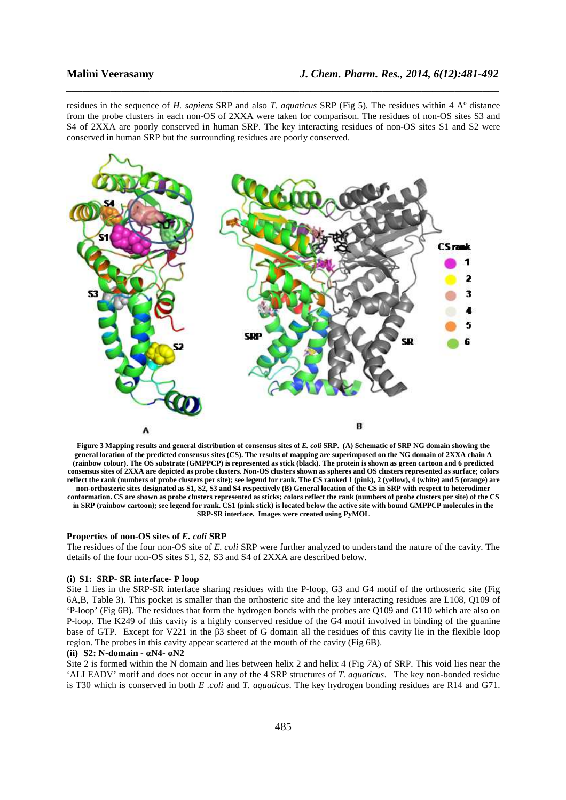residues in the sequence of *H. sapiens* SRP and also *T. aquaticus* SRP (Fig 5)*.* The residues within 4 Aº distance from the probe clusters in each non-OS of 2XXA were taken for comparison. The residues of non-OS sites S3 and S4 of 2XXA are poorly conserved in human SRP. The key interacting residues of non-OS sites S1 and S2 were conserved in human SRP but the surrounding residues are poorly conserved.

*\_\_\_\_\_\_\_\_\_\_\_\_\_\_\_\_\_\_\_\_\_\_\_\_\_\_\_\_\_\_\_\_\_\_\_\_\_\_\_\_\_\_\_\_\_\_\_\_\_\_\_\_\_\_\_\_\_\_\_\_\_\_\_\_\_\_\_\_\_\_\_\_\_\_\_\_\_\_*



**Figure 3 Mapping results and general distribution of consensus sites of** *E. coli* **SRP. (A) Schematic of SRP NG domain showing the general location of the predicted consensus sites (CS). The results of mapping are superimposed on the NG domain of 2XXA chain A (rainbow colour). The OS substrate (GMPPCP) is represented as stick (black). The protein is shown as green cartoon and 6 predicted consensus sites of 2XXA are depicted as probe clusters. Non-OS clusters shown as spheres and OS clusters represented as surface; colors reflect the rank (numbers of probe clusters per site); see legend for rank. The CS ranked 1 (pink), 2 (yellow), 4 (white) and 5 (orange) are non-orthosteric sites designated as S1, S2, S3 and S4 respectively (B) General location of the CS in SRP with respect to heterodimer conformation. CS are shown as probe clusters represented as sticks; colors reflect the rank (numbers of probe clusters per site) of the CS in SRP (rainbow cartoon); see legend for rank. CS1 (pink stick) is located below the active site with bound GMPPCP molecules in the SRP-SR interface. Images were created using PyMOL** 

### **Properties of non-OS sites of** *E. coli* **SRP**

The residues of the four non-OS site of *E. coli* SRP were further analyzed to understand the nature of the cavity. The details of the four non-OS sites S1, S2, S3 and S4 of 2XXA are described below.

# **(i) S1: SRP- SR interface- P loop**

Site 1 lies in the SRP-SR interface sharing residues with the P-loop, G3 and G4 motif of the orthosteric site (Fig 6A,B, Table 3). This pocket is smaller than the orthosteric site and the key interacting residues are L108, Q109 of 'P-loop' (Fig 6B). The residues that form the hydrogen bonds with the probes are Q109 and G110 which are also on P-loop. The K249 of this cavity is a highly conserved residue of the G4 motif involved in binding of the guanine base of GTP. Except for V221 in the β3 sheet of G domain all the residues of this cavity lie in the flexible loop region. The probes in this cavity appear scattered at the mouth of the cavity (Fig 6B).

### **(ii) S2: N-domain - αN4- αN2**

Site 2 is formed within the N domain and lies between helix 2 and helix 4 (Fig *7*A) of SRP. This void lies near the 'ALLEADV' motif and does not occur in any of the 4 SRP structures of *T. aquaticus*. The key non-bonded residue is T30 which is conserved in both *E .coli* and *T. aquaticus*. The key hydrogen bonding residues are R14 and G71.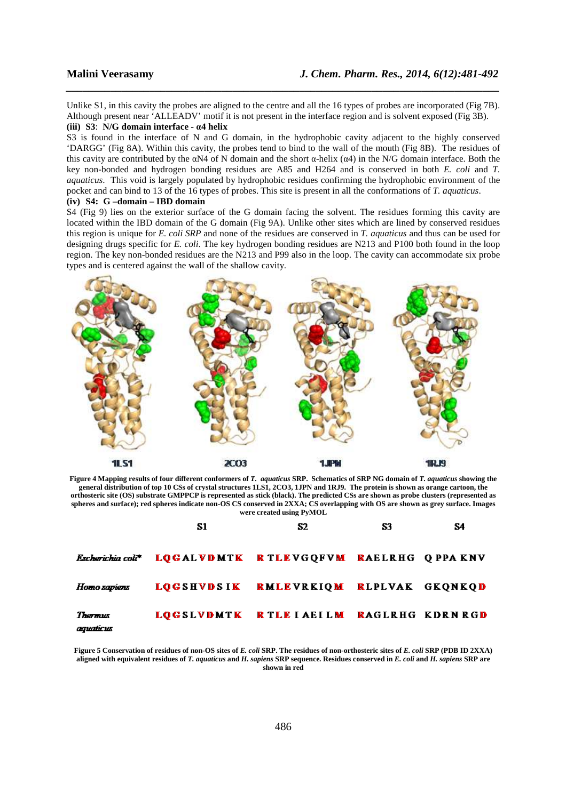Unlike S1, in this cavity the probes are aligned to the centre and all the 16 types of probes are incorporated (Fig 7B). Although present near 'ALLEADV' motif it is not present in the interface region and is solvent exposed (Fig 3B). **(iii) S3**: **N/G domain interface - α4 helix**

*\_\_\_\_\_\_\_\_\_\_\_\_\_\_\_\_\_\_\_\_\_\_\_\_\_\_\_\_\_\_\_\_\_\_\_\_\_\_\_\_\_\_\_\_\_\_\_\_\_\_\_\_\_\_\_\_\_\_\_\_\_\_\_\_\_\_\_\_\_\_\_\_\_\_\_\_\_\_*

S3 is found in the interface of N and G domain, in the hydrophobic cavity adjacent to the highly conserved 'DARGG' (Fig 8A). Within this cavity, the probes tend to bind to the wall of the mouth (Fig 8B). The residues of this cavity are contributed by the  $\alpha$ N4 of N domain and the short  $\alpha$ -helix ( $\alpha$ 4) in the N/G domain interface. Both the key non-bonded and hydrogen bonding residues are A85 and H264 and is conserved in both *E. coli* and *T. aquaticus*. This void is largely populated by hydrophobic residues confirming the hydrophobic environment of the pocket and can bind to 13 of the 16 types of probes. This site is present in all the conformations of *T. aquaticus*. **(iv) S4: G –domain – IBD domain** 

S4 (Fig 9) lies on the exterior surface of the G domain facing the solvent. The residues forming this cavity are located within the IBD domain of the G domain (Fig 9A). Unlike other sites which are lined by conserved residues this region is unique for *E. coli SRP* and none of the residues are conserved in *T. aquaticus* and thus can be used for designing drugs specific for *E. coli*. The key hydrogen bonding residues are N213 and P100 both found in the loop region. The key non-bonded residues are the N213 and P99 also in the loop. The cavity can accommodate six probe types and is centered against the wall of the shallow cavity.



**Figure 4 Mapping results of four different conformers of** *T. aquaticus* **SRP. Schematics of SRP NG domain of** *T. aquaticus* **showing the general distribution of top 10 CSs of crystal structures 1LS1, 2CO3, 1JPN and 1RJ9. The protein is shown as orange cartoon, the orthosteric site (OS) substrate GMPPCP is represented as stick (black). The predicted CSs are shown as probe clusters (represented as spheres and surface); red spheres indicate non-OS CS conserved in 2XXA; CS overlapping with OS are shown as grey surface. Images were created using PyMOL** 

|                      | S1                                                               | S2                                    | S3 | S4 |
|----------------------|------------------------------------------------------------------|---------------------------------------|----|----|
|                      | <b>Escherichia colt* LOGALVDMTK RTLEVGQFVM RAELRHG Q PPA KNV</b> |                                       |    |    |
| Homo sapiens         |                                                                  | LOGSHVDSIK RMLEVRKIOM RLPLVAK GKONKOD |    |    |
| Thermus<br>aguaticus |                                                                  | LOGSLVDMTK RTLEIAEILM RAGLRHG KDRNRGD |    |    |

**Figure 5 Conservation of residues of non-OS sites of** *E. coli* **SRP. The residues of non-orthosteric sites of** *E. coli* **SRP (PDB ID 2XXA) aligned with equivalent residues of** *T. aquaticus* **and** *H. sapiens* **SRP sequence***.* **Residues conserved in** *E. coli* **and** *H. sapiens* **SRP are shown in red**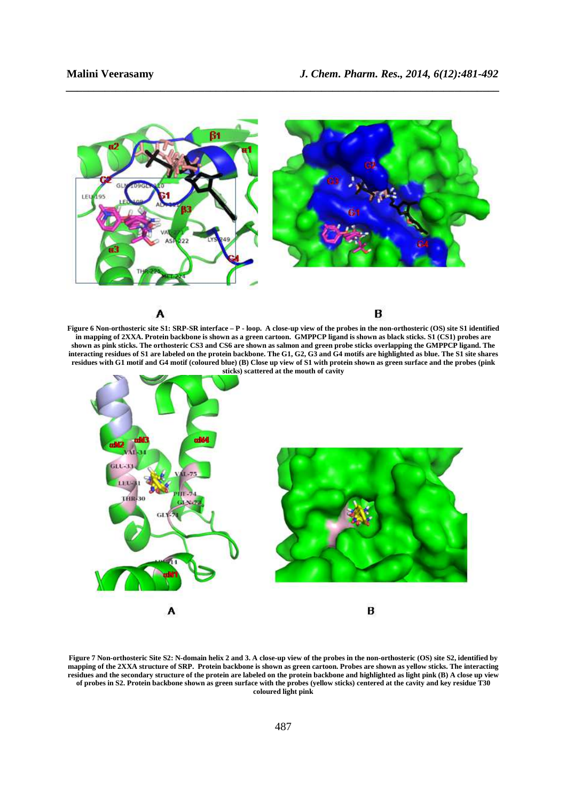

*\_\_\_\_\_\_\_\_\_\_\_\_\_\_\_\_\_\_\_\_\_\_\_\_\_\_\_\_\_\_\_\_\_\_\_\_\_\_\_\_\_\_\_\_\_\_\_\_\_\_\_\_\_\_\_\_\_\_\_\_\_\_\_\_\_\_\_\_\_\_\_\_\_\_\_\_\_\_*

**Figure 6 Non-orthosteric site S1: SRP-SR interface – P - loop. A close-up view of the probes in the non-orthosteric (OS) site S1 identified in mapping of 2XXA. Protein backbone is shown as a green cartoon. GMPPCP ligand is shown as black sticks. S1 (CS1) probes are shown as pink sticks. The orthosteric CS3 and CS6 are shown as salmon and green probe sticks overlapping the GMPPCP ligand. The interacting residues of S1 are labeled on the protein backbone. The G1, G2, G3 and G4 motifs are highlighted as blue. The S1 site shares residues with G1 motif and G4 motif (coloured blue) (B) Close up view of S1 with protein shown as green surface and the probes (pink sticks) scattered at the mouth of cavity** 



**Figure 7 Non-orthosteric Site S2: N-domain helix 2 and 3. A close-up view of the probes in the non-orthosteric (OS) site S2, identified by mapping of the 2XXA structure of SRP. Protein backbone is shown as green cartoon. Probes are shown as yellow sticks. The interacting residues and the secondary structure of the protein are labeled on the protein backbone and highlighted as light pink (B) A close up view of probes in S2. Protein backbone shown as green surface with the probes (yellow sticks) centered at the cavity and key residue T30 coloured light pink**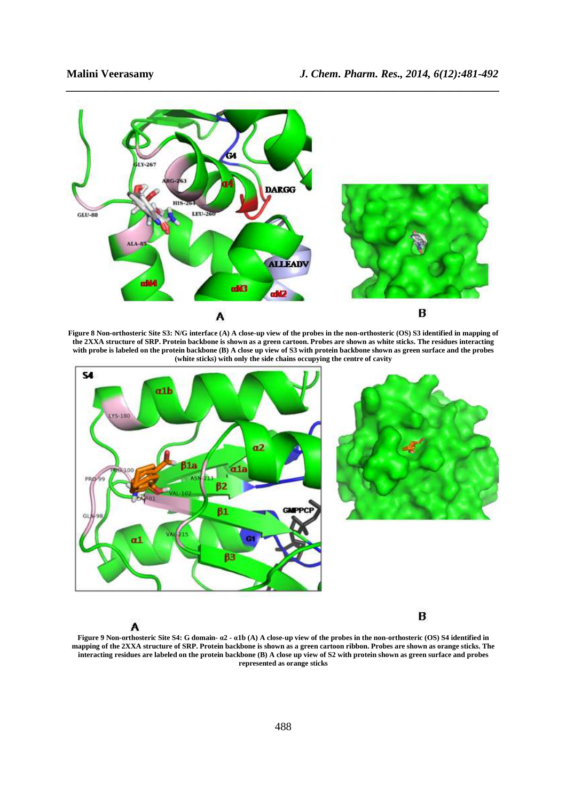B





**Figure 8 Non-orthosteric Site S3: N/G interface (A) A close-up view of the probes in the non-orthosteric (OS) S3 identified in mapping of the 2XXA structure of SRP. Protein backbone is shown as a green cartoon. Probes are shown as white sticks. The residues interacting with probe is labeled on the protein backbone (B) A close up view of S3 with protein backbone shown as green surface and the probes (white sticks) with only the side chains occupying the centre of cavity** 



A

**Figure 9 Non-orthosteric Site S4: G domain- α2 - α1b (A) A close-up view of the probes in the non-orthosteric (OS) S4 identified in mapping of the 2XXA structure of SRP. Protein backbone is shown as a green cartoon ribbon. Probes are shown as orange sticks. The interacting residues are labeled on the protein backbone (B) A close up view of S2 with protein shown as green surface and probes represented as orange sticks**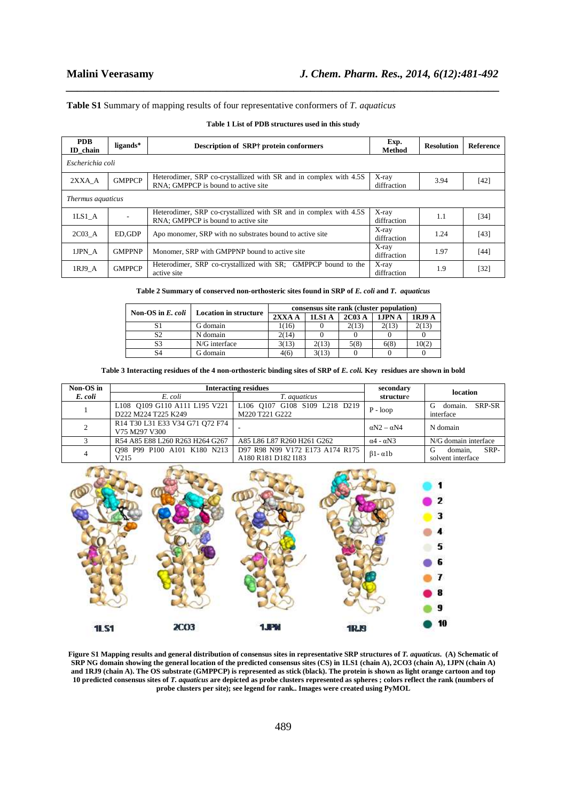# **Table S1** Summary of mapping results of four representative conformers of *T. aquaticus*

| <b>PDB</b><br>ID chain | ligands*      | Description of SRP† protein conformers                                                                   | Exp.<br><b>Method</b>   | <b>Resolution</b> | <b>Reference</b> |
|------------------------|---------------|----------------------------------------------------------------------------------------------------------|-------------------------|-------------------|------------------|
| Escherichia coli       |               |                                                                                                          |                         |                   |                  |
| 2XXA A                 | <b>GMPPCP</b> | Heterodimer, SRP co-crystallized with SR and in complex with 4.5S<br>RNA; GMPPCP is bound to active site | X-ray<br>diffraction    | 3.94              | [42]             |
| Thermus aquaticus      |               |                                                                                                          |                         |                   |                  |
| 1LS1A                  |               | Heterodimer, SRP co-crystallized with SR and in complex with 4.5S<br>RNA: GMPPCP is bound to active site | $X$ -ray<br>diffraction | 1.1               | $[34]$           |
| $2C03 \text{ A}$       | ED.GDP        | Apo monomer, SRP with no substrates bound to active site                                                 | X-ray<br>diffraction    | 1.24              | [43]             |
| 1JPN A                 | <b>GMPPNP</b> | Monomer, SRP with GMPPNP bound to active site.                                                           | X-ray<br>diffraction    | 1.97              | [44]             |
| 1RJ9 A                 | <b>GMPPCP</b> | Heterodimer, SRP co-crystallized with SR; GMPPCP bound to the<br>active site                             | X-ray<br>diffraction    | 1.9               | [32]             |

# **Table 1 List of PDB structures used in this study**

*\_\_\_\_\_\_\_\_\_\_\_\_\_\_\_\_\_\_\_\_\_\_\_\_\_\_\_\_\_\_\_\_\_\_\_\_\_\_\_\_\_\_\_\_\_\_\_\_\_\_\_\_\_\_\_\_\_\_\_\_\_\_\_\_\_\_\_\_\_\_\_\_\_\_\_\_\_\_*

**Table 2 Summary of conserved non-orthosteric sites found in SRP of** *E. coli* **and** *T. aquaticus*

| Non-OS in $E.$ coli | <b>Location in structure</b> | consensus site rank (cluster population) |        |       |        |        |
|---------------------|------------------------------|------------------------------------------|--------|-------|--------|--------|
|                     |                              | $2XXA$ A                                 | 1LS1 A | 2C03A | 1JPN A | 1RJ9 A |
|                     | G domain                     | 1(16)                                    |        | 2(13) | 2(13)  | 2(13)  |
| S2                  | N domain                     | 2(14)                                    |        |       |        |        |
|                     | N/G interface                | 3(13)                                    | 2(13)  | 5(8)  | 6(8)   | 10(2)  |
| S4                  | G domain                     | 4(6)                                     | 3(13)  |       |        |        |

## Table 3 Interacting residues of the 4 non-orthosteric binding sites of SRP of *E. coli.* Key residues are shown in bold

| Non-OS in | <b>Interacting residues</b>                                                                                                                      |                                                        | secondary                 | location                                  |  |
|-----------|--------------------------------------------------------------------------------------------------------------------------------------------------|--------------------------------------------------------|---------------------------|-------------------------------------------|--|
| E. coli   | E. coli                                                                                                                                          | <i>T. aquaticus</i>                                    | structure                 |                                           |  |
|           | L108 0109 G110 A111 L195 V221<br>D222 M224 T225 K249                                                                                             | L106 Q107 G108 S109 L218 D219<br>M220 T221 G222        | $P - loop$                | SRP-SR<br>domain.<br>interface            |  |
| 2         | R <sub>14</sub> T <sub>30</sub> L <sub>31</sub> E <sub>33</sub> V <sub>34</sub> G <sub>71</sub> O <sub>72</sub> F <sub>74</sub><br>V75 M297 V300 |                                                        | $\alpha$ N2 – $\alpha$ N4 | N domain                                  |  |
|           | R54 A85 E88 L260 R263 H264 G267                                                                                                                  | A85 L86 L87 R260 H261 G262                             | $\alpha$ 4 - $\alpha$ N3  | N/G domain interface                      |  |
| 4         | 098 P99 P100 A101 K180 N213<br>V215                                                                                                              | D97 R98 N99 V172 E173 A174 R175<br>A180 R181 D182 I183 | $\beta$ 1 - $\alpha$ 1 b  | SRP-<br>domain,<br>G<br>solvent interface |  |



Figure S1 Mapping results and general distribution of consensus sites in representative SRP structures of *T. aquaticus*. (A) Schematic of **SRP NG domain showing the general location of the predicted consensus sites (CS) in 1LS1 (chain A), 2CO3 (chain A), 1JPN (chain A) and 1RJ9 (chain A). The OS substrate (GMPPCP) is represented as stick (black). The protein is shown as light orange cartoon and top 10 predicted consensus sites of** *T. aquaticus* **are depicted as probe clusters represented as spheres ; colors reflect the rank (numbers of**  probe clusters per site); see legend for rank.. Images were created using PyMOL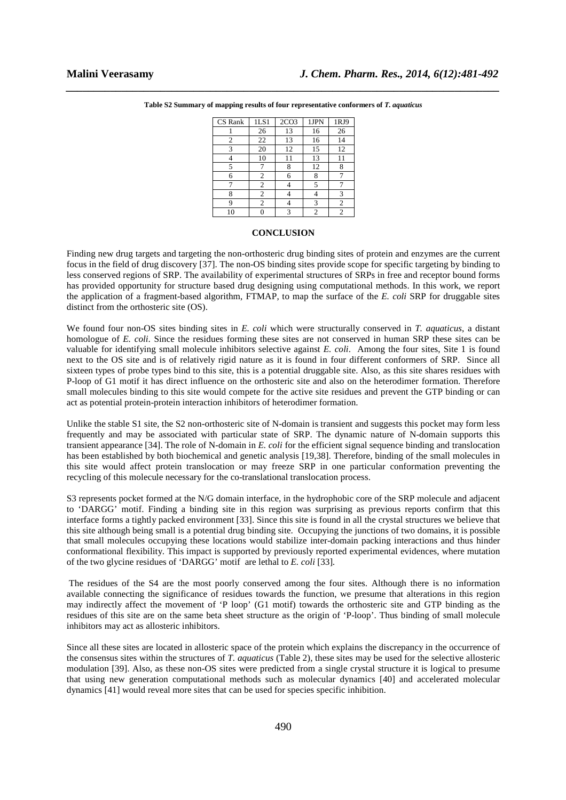| CS Rank | 1LS1 | 2CO <sub>3</sub> | 1JPN | 1RJ9 |
|---------|------|------------------|------|------|
|         | 26   | 13               | 16   | 26   |
| 2       | 22   | 13               | 16   | 14   |
| 3       | 20   | 12               | 15   | 12   |
|         | 10   | 11               | 13   | 11   |
| 5       |      | 8                | 12   | 8    |
| 6       | 2    | 6                | 8    |      |
| 7       | 2    |                  | 5    |      |
| 8       | 2    |                  | 4    | 3    |
| q       | 2    |                  | 3    | 2    |
| 10      | 0    | 3                | 2    | 2    |

*\_\_\_\_\_\_\_\_\_\_\_\_\_\_\_\_\_\_\_\_\_\_\_\_\_\_\_\_\_\_\_\_\_\_\_\_\_\_\_\_\_\_\_\_\_\_\_\_\_\_\_\_\_\_\_\_\_\_\_\_\_\_\_\_\_\_\_\_\_\_\_\_\_\_\_\_\_\_* **Table S2 Summary of mapping results of four representative conformers of** *T. aquaticus* 

# **CONCLUSION**

Finding new drug targets and targeting the non-orthosteric drug binding sites of protein and enzymes are the current focus in the field of drug discovery [37]. The non-OS binding sites provide scope for specific targeting by binding to less conserved regions of SRP. The availability of experimental structures of SRPs in free and receptor bound forms has provided opportunity for structure based drug designing using computational methods. In this work, we report the application of a fragment-based algorithm, FTMAP, to map the surface of the *E. coli* SRP for druggable sites distinct from the orthosteric site (OS).

We found four non-OS sites binding sites in *E. coli* which were structurally conserved in *T. aquaticus*, a distant homologue of *E. coli*. Since the residues forming these sites are not conserved in human SRP these sites can be valuable for identifying small molecule inhibitors selective against *E. coli*. Among the four sites, Site 1 is found next to the OS site and is of relatively rigid nature as it is found in four different conformers of SRP. Since all sixteen types of probe types bind to this site, this is a potential druggable site. Also, as this site shares residues with P-loop of G1 motif it has direct influence on the orthosteric site and also on the heterodimer formation. Therefore small molecules binding to this site would compete for the active site residues and prevent the GTP binding or can act as potential protein-protein interaction inhibitors of heterodimer formation.

Unlike the stable S1 site, the S2 non-orthosteric site of N-domain is transient and suggests this pocket may form less frequently and may be associated with particular state of SRP. The dynamic nature of N-domain supports this transient appearance [34]. The role of N-domain in *E. coli* for the efficient signal sequence binding and translocation has been established by both biochemical and genetic analysis [19,38]. Therefore, binding of the small molecules in this site would affect protein translocation or may freeze SRP in one particular conformation preventing the recycling of this molecule necessary for the co-translational translocation process.

S3 represents pocket formed at the N/G domain interface, in the hydrophobic core of the SRP molecule and adjacent to 'DARGG' motif. Finding a binding site in this region was surprising as previous reports confirm that this interface forms a tightly packed environment [33]. Since this site is found in all the crystal structures we believe that this site although being small is a potential drug binding site. Occupying the junctions of two domains, it is possible that small molecules occupying these locations would stabilize inter-domain packing interactions and thus hinder conformational flexibility. This impact is supported by previously reported experimental evidences, where mutation of the two glycine residues of 'DARGG' motif are lethal to *E. coli* [33]*.* 

 The residues of the S4 are the most poorly conserved among the four sites. Although there is no information available connecting the significance of residues towards the function, we presume that alterations in this region may indirectly affect the movement of 'P loop' (G1 motif) towards the orthosteric site and GTP binding as the residues of this site are on the same beta sheet structure as the origin of 'P-loop'. Thus binding of small molecule inhibitors may act as allosteric inhibitors.

Since all these sites are located in allosteric space of the protein which explains the discrepancy in the occurrence of the consensus sites within the structures of *T. aquaticus* (Table 2), these sites may be used for the selective allosteric modulation [39]. Also, as these non-OS sites were predicted from a single crystal structure it is logical to presume that using new generation computational methods such as molecular dynamics [40] and accelerated molecular dynamics [41] would reveal more sites that can be used for species specific inhibition.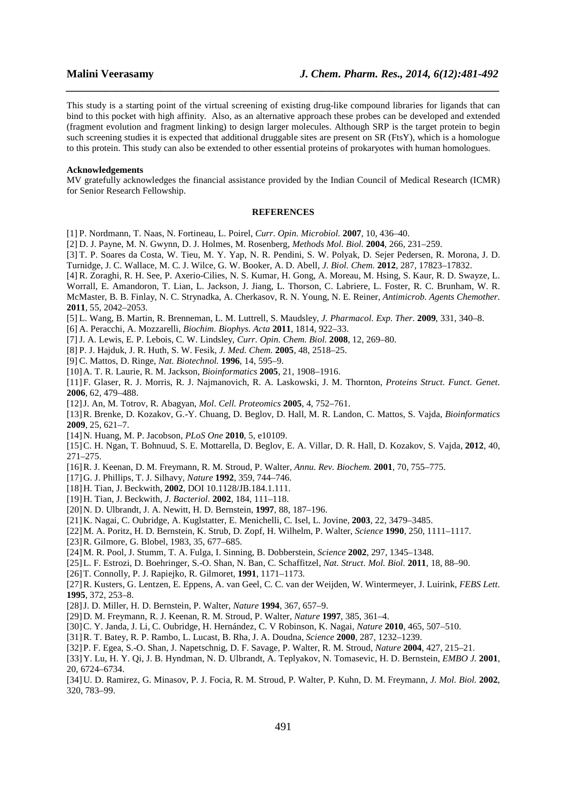This study is a starting point of the virtual screening of existing drug-like compound libraries for ligands that can bind to this pocket with high affinity. Also, as an alternative approach these probes can be developed and extended (fragment evolution and fragment linking) to design larger molecules. Although SRP is the target protein to begin such screening studies it is expected that additional druggable sites are present on SR (FtsY), which is a homologue to this protein. This study can also be extended to other essential proteins of prokaryotes with human homologues.

*\_\_\_\_\_\_\_\_\_\_\_\_\_\_\_\_\_\_\_\_\_\_\_\_\_\_\_\_\_\_\_\_\_\_\_\_\_\_\_\_\_\_\_\_\_\_\_\_\_\_\_\_\_\_\_\_\_\_\_\_\_\_\_\_\_\_\_\_\_\_\_\_\_\_\_\_\_\_*

## **Acknowledgements**

MV gratefully acknowledges the financial assistance provided by the Indian Council of Medical Research (ICMR) for Senior Research Fellowship.

# **REFERENCES**

[1] P. Nordmann, T. Naas, N. Fortineau, L. Poirel, *Curr. Opin. Microbiol.* **2007**, 10, 436–40.

[2] D. J. Payne, M. N. Gwynn, D. J. Holmes, M. Rosenberg, *Methods Mol. Biol.* **2004**, 266, 231–259.

[3] T. P. Soares da Costa, W. Tieu, M. Y. Yap, N. R. Pendini, S. W. Polyak, D. Sejer Pedersen, R. Morona, J. D. Turnidge, J. C. Wallace, M. C. J. Wilce, G. W. Booker, A. D. Abell, *J. Biol. Chem.* **2012**, 287, 17823–17832.

[4] R. Zoraghi, R. H. See, P. Axerio-Cilies, N. S. Kumar, H. Gong, A. Moreau, M. Hsing, S. Kaur, R. D. Swayze, L.

Worrall, E. Amandoron, T. Lian, L. Jackson, J. Jiang, L. Thorson, C. Labriere, L. Foster, R. C. Brunham, W. R. McMaster, B. B. Finlay, N. C. Strynadka, A. Cherkasov, R. N. Young, N. E. Reiner, *Antimicrob. Agents Chemother.* **2011**, 55, 2042–2053.

[5] L. Wang, B. Martin, R. Brenneman, L. M. Luttrell, S. Maudsley, *J. Pharmacol. Exp. Ther.* **2009**, 331, 340–8.

[6] A. Peracchi, A. Mozzarelli, *Biochim. Biophys. Acta* **2011**, 1814, 922–33.

[7] J. A. Lewis, E. P. Lebois, C. W. Lindsley, *Curr. Opin. Chem. Biol.* **2008**, 12, 269–80.

[8] P. J. Hajduk, J. R. Huth, S. W. Fesik, *J. Med. Chem.* **2005**, 48, 2518–25.

[9] C. Mattos, D. Ringe, *Nat. Biotechnol.* **1996**, 14, 595–9.

[10] A. T. R. Laurie, R. M. Jackson, *Bioinformatics* **2005**, 21, 1908–1916.

[11] F. Glaser, R. J. Morris, R. J. Najmanovich, R. A. Laskowski, J. M. Thornton, *Proteins Struct. Funct. Genet.* **2006**, 62, 479–488.

[12] J. An, M. Totrov, R. Abagyan, *Mol. Cell. Proteomics* **2005**, 4, 752–761.

[13] R. Brenke, D. Kozakov, G.-Y. Chuang, D. Beglov, D. Hall, M. R. Landon, C. Mattos, S. Vajda, *Bioinformatics* **2009**, 25, 621–7.

[14] N. Huang, M. P. Jacobson, *PLoS One* **2010**, 5, e10109.

[15] C. H. Ngan, T. Bohnuud, S. E. Mottarella, D. Beglov, E. A. Villar, D. R. Hall, D. Kozakov, S. Vajda, **2012**, 40, 271–275.

- [16] R. J. Keenan, D. M. Freymann, R. M. Stroud, P. Walter, *Annu. Rev. Biochem.* **2001**, 70, 755–775.
- [17] G. J. Phillips, T. J. Silhavy, *Nature* **1992**, 359, 744–746.
- [18] H. Tian, J. Beckwith, **2002**, DOI 10.1128/JB.184.1.111.
- [19] H. Tian, J. Beckwith, *J. Bacteriol.* **2002**, 184, 111–118.
- [20] N. D. Ulbrandt, J. A. Newitt, H. D. Bernstein, **1997**, 88, 187–196.
- [21] K. Nagai, C. Oubridge, A. Kuglstatter, E. Menichelli, C. Isel, L. Jovine, **2003**, 22, 3479–3485.

[22] M. A. Poritz, H. D. Bernstein, K. Strub, D. Zopf, H. Wilhelm, P. Walter, *Science* **1990**, 250, 1111–1117.

- [23] R. Gilmore, G. Blobel, 1983, 35, 677–685.
- [24] M. R. Pool, J. Stumm, T. A. Fulga, I. Sinning, B. Dobberstein, *Science* **2002**, 297, 1345–1348.
- [25] L. F. Estrozi, D. Boehringer, S.-O. Shan, N. Ban, C. Schaffitzel, *Nat. Struct. Mol. Biol.* **2011**, 18, 88–90.
- [26] T. Connolly, P. J. Rapiejko, R. Gilmoret, **1991**, 1171–1173.

[27] R. Kusters, G. Lentzen, E. Eppens, A. van Geel, C. C. van der Weijden, W. Wintermeyer, J. Luirink, *FEBS Lett.* **1995**, 372, 253–8.

- [28] J. D. Miller, H. D. Bernstein, P. Walter, *Nature* **1994**, 367, 657–9.
- [29] D. M. Freymann, R. J. Keenan, R. M. Stroud, P. Walter, *Nature* **1997**, 385, 361–4.
- [30] C. Y. Janda, J. Li, C. Oubridge, H. Hernández, C. V Robinson, K. Nagai, *Nature* **2010**, 465, 507–510.
- [31] R. T. Batey, R. P. Rambo, L. Lucast, B. Rha, J. A. Doudna, *Science* **2000**, 287, 1232–1239.
- [32] P. F. Egea, S.-O. Shan, J. Napetschnig, D. F. Savage, P. Walter, R. M. Stroud, *Nature* **2004**, 427, 215–21.
- [33] Y. Lu, H. Y. Qi, J. B. Hyndman, N. D. Ulbrandt, A. Teplyakov, N. Tomasevic, H. D. Bernstein, *EMBO J.* **2001**, 20, 6724–6734.
- [34] U. D. Ramirez, G. Minasov, P. J. Focia, R. M. Stroud, P. Walter, P. Kuhn, D. M. Freymann, *J. Mol. Biol.* **2002**, 320, 783–99.